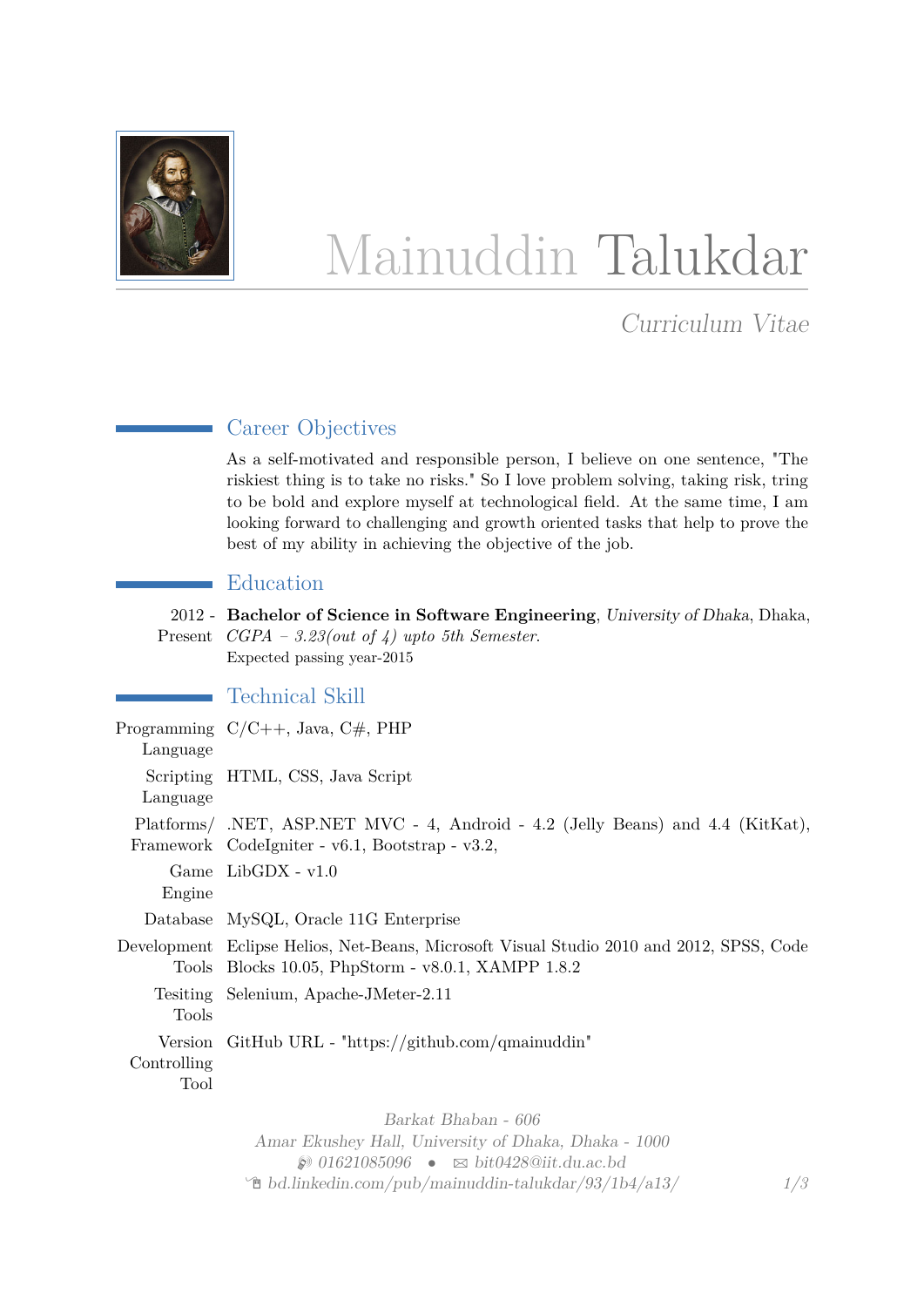

# Mainuddin Talukdar

Curriculum Vitae

# Career Objectives

As a self-motivated and responsible person, I believe on one sentence, "The riskiest thing is to take no risks." So I love problem solving, taking risk, tring to be bold and explore myself at technological field. At the same time, I am looking forward to challenging and growth oriented tasks that help to prove the best of my ability in achieving the objective of the job.

# Education

2012 - **Bachelor of Science in Software Engineering**, University of Dhaka, Dhaka, Present *CGPA – 3.23(out of 4) upto 5th Semester*. Expected passing year-2015

# Technical Skill

| Language                       | Programming $C/C++$ , Java, $C#$ , PHP                                                                                                         |
|--------------------------------|------------------------------------------------------------------------------------------------------------------------------------------------|
| Language                       | Scripting HTML, CSS, Java Script                                                                                                               |
|                                | Platforms/ .NET, ASP.NET MVC - 4, Android - 4.2 (Jelly Beans) and 4.4 (KitKat),<br>Framework Codelgniter - v6.1, Bootstrap - v3.2,             |
| Engine                         | Game $LibGDX - v1.0$                                                                                                                           |
|                                | Database MySQL, Oracle 11G Enterprise                                                                                                          |
|                                | Development Eclipse Helios, Net-Beans, Microsoft Visual Studio 2010 and 2012, SPSS, Code<br>Tools Blocks 10.05, PhpStorm - v8.0.1, XAMPP 1.8.2 |
| Tools                          | Tesiting Selenium, Apache-JMeter-2.11                                                                                                          |
| Version<br>Controlling<br>Tool | $G$ itHub URL - "https://github.com/qmainuddin"                                                                                                |
|                                |                                                                                                                                                |

Barkat Bhaban - 606 Amar Ekushey Hall, University of Dhaka, Dhaka - 1000  $\textcircled{1621085096} \bullet \text{ s bit0428@iit.du.ac.bd}$  $\textcircled{1621085096} \bullet \text{ s bit0428@iit.du.ac.bd}$  $\textcircled{1621085096} \bullet \text{ s bit0428@iit.du.ac.bd}$  $\Phi$  [bd.linkedin.com/pub/mainuddin-talukdar/93/1b4/a13/](http://bd.linkedin.com/pub/mainuddin-talukdar/93/1b4/a13/) *1[/3](#page-2-0)*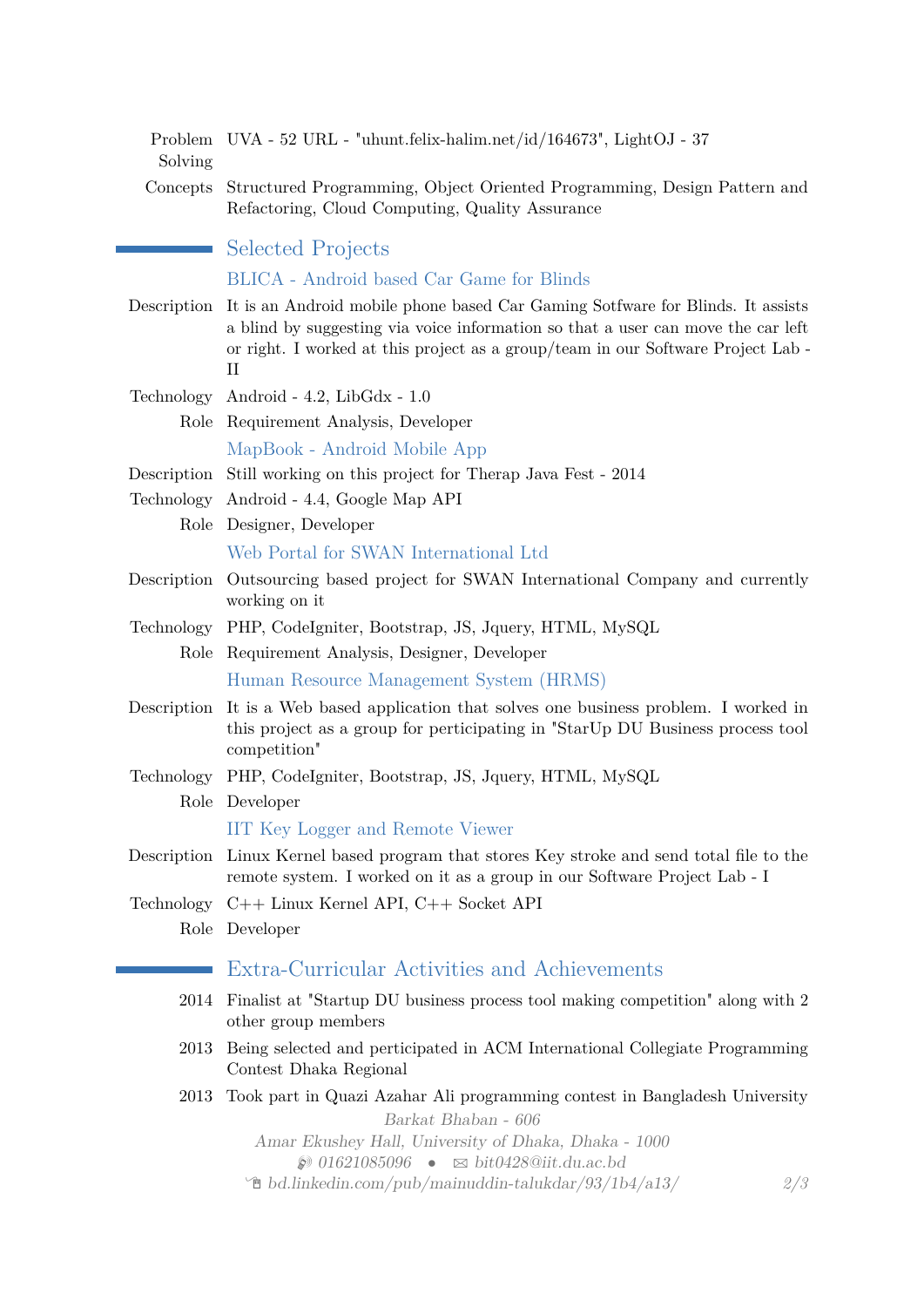| Solving     | Problem UVA - 52 URL - "uhunt.felix-halim.net/id/164673", LightOJ - 37                                                                                                                                                                                                |
|-------------|-----------------------------------------------------------------------------------------------------------------------------------------------------------------------------------------------------------------------------------------------------------------------|
|             | Concepts Structured Programming, Object Oriented Programming, Design Pattern and<br>Refactoring, Cloud Computing, Quality Assurance                                                                                                                                   |
|             | <b>Selected Projects</b>                                                                                                                                                                                                                                              |
|             | BLICA - Android based Car Game for Blinds                                                                                                                                                                                                                             |
| Description | It is an Android mobile phone based Car Gaming Sottware for Blinds. It assists<br>a blind by suggesting via voice information so that a user can move the car left<br>or right. I worked at this project as a group/team in our Software Project Lab -<br>$_{\rm II}$ |
|             | Technology Android - 4.2, LibGdx - 1.0                                                                                                                                                                                                                                |
|             | Role Requirement Analysis, Developer                                                                                                                                                                                                                                  |
|             | MapBook - Android Mobile App                                                                                                                                                                                                                                          |
|             | Description Still working on this project for Therap Java Fest - 2014                                                                                                                                                                                                 |
|             | Technology Android - 4.4, Google Map API                                                                                                                                                                                                                              |
| Role        | Designer, Developer                                                                                                                                                                                                                                                   |
|             | Web Portal for SWAN International Ltd                                                                                                                                                                                                                                 |
|             | Description Outsourcing based project for SWAN International Company and currently<br>working on it                                                                                                                                                                   |
|             | Technology PHP, CodeIgniter, Bootstrap, JS, Jquery, HTML, MySQL                                                                                                                                                                                                       |
| Role        | Requirement Analysis, Designer, Developer                                                                                                                                                                                                                             |
|             | Human Resource Management System (HRMS)                                                                                                                                                                                                                               |
| Description | It is a Web based application that solves one business problem. I worked in<br>this project as a group for perticipating in "StarUp DU Business process tool<br>competition"                                                                                          |
|             | Technology PHP, CodeIgniter, Bootstrap, JS, Jquery, HTML, MySQL                                                                                                                                                                                                       |
|             | Role Developer                                                                                                                                                                                                                                                        |
|             | <b>IIT Key Logger and Remote Viewer</b>                                                                                                                                                                                                                               |
| Description | Linux Kernel based program that stores Key stroke and send total file to the<br>remote system. I worked on it as a group in our Software Project Lab - I                                                                                                              |
|             | Technology $C++$ Linux Kernel API, $C++$ Socket API                                                                                                                                                                                                                   |
| Role        | Developer                                                                                                                                                                                                                                                             |
|             | Extra-Curricular Activities and Achievements                                                                                                                                                                                                                          |
| 2014        | Finalist at "Startup DU business process tool making competition" along with 2<br>other group members                                                                                                                                                                 |
| 2013        | Being selected and perticipated in ACM International Collegiate Programming<br>Contest Dhaka Regional                                                                                                                                                                 |
| 2013        | Took part in Quazi Azahar Ali programming contest in Bangladesh University<br>Barkat Bhaban - 606                                                                                                                                                                     |
|             | Amar Ekushey Hall, University of Dhaka, Dhaka - 1000                                                                                                                                                                                                                  |
|             | $\bullet$ 01621085096 $\bullet$ $\approx$ bit0428@iit.du.ac.bd<br>2/3<br>$\textcircled{f}$ bd.linkedin.com/pub/mainuddin-talukdar/93/1b4/a13/                                                                                                                         |